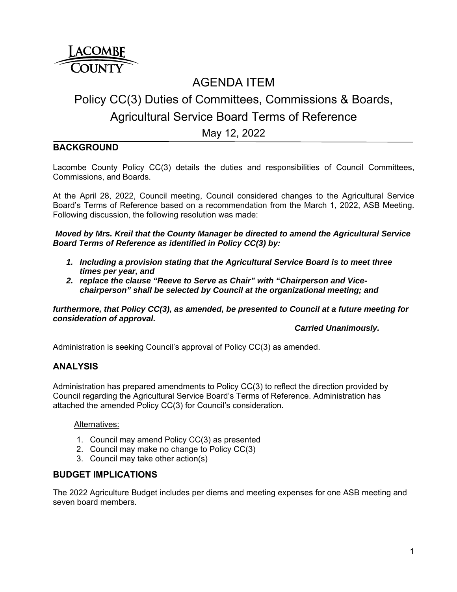

## AGENDA ITEM

# Policy CC(3) Duties of Committees, Commissions & Boards, Agricultural Service Board Terms of Reference

May 12, 2022

## **BACKGROUND**

Lacombe County Policy CC(3) details the duties and responsibilities of Council Committees, Commissions, and Boards.

At the April 28, 2022, Council meeting, Council considered changes to the Agricultural Service Board's Terms of Reference based on a recommendation from the March 1, 2022, ASB Meeting. Following discussion, the following resolution was made:

*Moved by Mrs. Kreil that the County Manager be directed to amend the Agricultural Service Board Terms of Reference as identified in Policy CC(3) by:* 

- *1. Including a provision stating that the Agricultural Service Board is to meet three times per year, and*
- *2. replace the clause "Reeve to Serve as Chair" with "Chairperson and Vicechairperson" shall be selected by Council at the organizational meeting; and*

*furthermore, that Policy CC(3), as amended, be presented to Council at a future meeting for consideration of approval.* 

 *Carried Unanimously.* 

Administration is seeking Council's approval of Policy CC(3) as amended.

### **ANALYSIS**

Administration has prepared amendments to Policy CC(3) to reflect the direction provided by Council regarding the Agricultural Service Board's Terms of Reference. Administration has attached the amended Policy CC(3) for Council's consideration.

#### Alternatives:

- 1. Council may amend Policy CC(3) as presented
- 2. Council may make no change to Policy CC(3)
- 3. Council may take other action(s)

#### **BUDGET IMPLICATIONS**

The 2022 Agriculture Budget includes per diems and meeting expenses for one ASB meeting and seven board members.